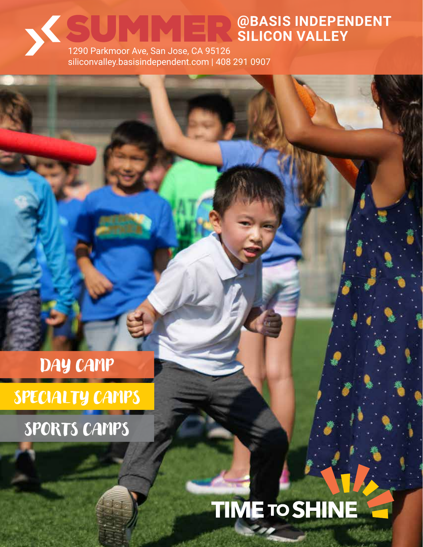### **@BASIS INDEPENDENT SILICON VALLEY** SUMMER

1290 Parkmoor Ave, San Jose, CA 95126 siliconvalley.basisindependent.com | 408 291 0907

## DAY CAMP

SPECIALTY CAMPS

SPORTS CAMPS

# **TIME TO SHINE**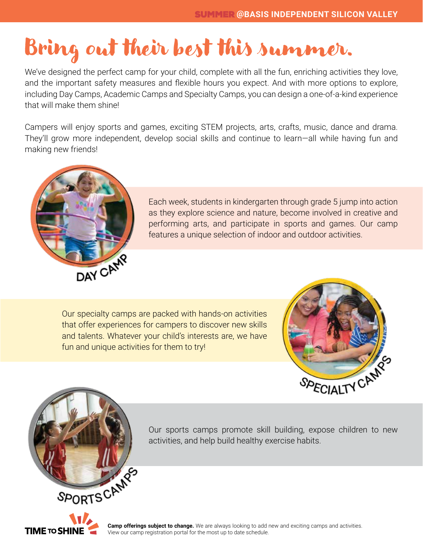## Bring out their best this summer.

We've designed the perfect camp for your child, complete with all the fun, enriching activities they love, and the important safety measures and flexible hours you expect. And with more options to explore, including Day Camps, Academic Camps and Specialty Camps, you can design a one-of-a-kind experience that will make them shine!

Campers will enjoy sports and games, exciting STEM projects, arts, crafts, music, dance and drama. They'll grow more independent, develop social skills and continue to learn—all while having fun and making new friends!



Each week, students in kindergarten through grade 5 jump into action as they explore science and nature, become involved in creative and performing arts, and participate in sports and games. Our camp features a unique selection of indoor and outdoor activities.

Our specialty camps are packed with hands-on activities that offer experiences for campers to discover new skills and talents. Whatever your child's interests are, we have fun and unique activities for them to try!



Our sports camps promote skill building, expose children to new activities, and help build healthy exercise habits.



**Camp offerings subject to change.** We are always looking to add new and exciting camps and activities. View our camp registration portal for the most up to date schedule.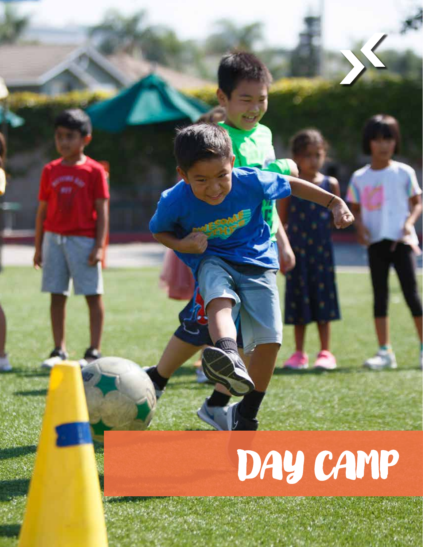# DAY CAMP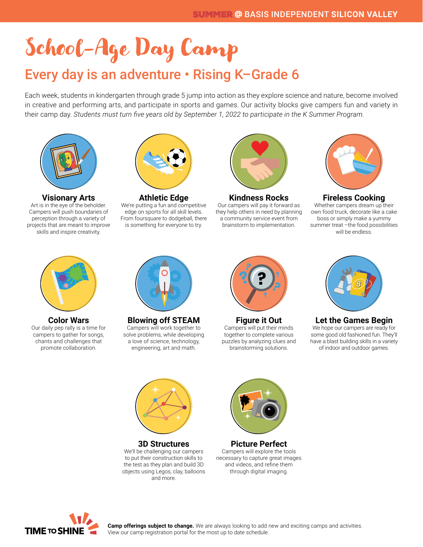# School-Age Day Camp

### Every day is an adventure • Rising K–Grade 6

Each week, students in kindergarten through grade 5 jump into action as they explore science and nature, become involved in creative and performing arts, and participate in sports and games. Our activity blocks give campers fun and variety in their camp day. *Students must turn five years old by September 1, 2022 to participate in the K Summer Program.*



**Visionary Arts** Art is in the eye of the beholder. Campers will push boundaries of perception through a variety of projects that are meant to improve skills and inspire creativity.



**Athletic Edge** We're putting a fun and competitive edge on sports for all skill levels. From foursquare to dodgeball, there is something for everyone to try.



**Kindness Rocks** Our campers will pay it forward as





**Fireless Cooking** Whether campers dream up their own food truck, decorate like a cake boss or simply make a yummy summer treat -the food possibilities will be endless.



**Color Wars** Our daily pep rally is a time for campers to gather for songs, chants and challenges that promote collaboration.



**Blowing off STEAM** Campers will work together to solve problems, while developing a love of science, technology, engineering, art and math.



**Figure it Out** Campers will put their minds together to complete various puzzles by analyzing clues and brainstorming solutions.



**Let the Games Begin** We hope our campers are ready for some good old fashioned fun. They'll have a blast building skills in a variety of indoor and outdoor games.



**3D Structures** We'll be challenging our campers to put their construction skills to the test as they plan and build 3D objects using Legos, clay, balloons and more.



**Picture Perfect** Campers will explore the tools necessary to capture great images and videos, and refine them through digital imaging.

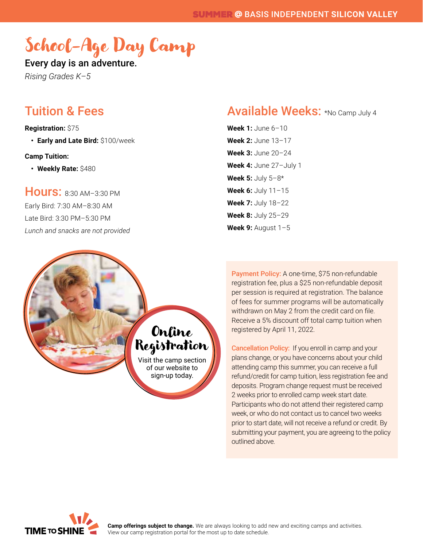### School-Age Day Camp

Every day is an adventure.

*Rising Grades K–5*

### Tuition & Fees

**Registration:** \$75

**• Early and Late Bird:** \$100/week

#### **Camp Tuition:**

**• Weekly Rate:** \$480

Hours: 8:30 AM–3:30 PM Early Bird: 7:30 AM–8:30 AM Late Bird: 3:30 PM–5:30 PM *Lunch and snacks are not provided*

### Available Weeks: \*No Camp July 4

**Week 1:** June 6–10 **Week 2:** June 13–17 **Week 3:** June 20–24 **Week 4:** June 27–July 1 **Week 5:** July 5–8\* **Week 6:** July 11–15 **Week 7:** July 18–22 **Week 8:** July 25–29 **Week 9:** August 1–5

Payment Policy: A one-time, \$75 non-refundable registration fee, plus a \$25 non-refundable deposit per session is required at registration. The balance of fees for summer programs will be automatically withdrawn on May 2 from the credit card on file. Receive a 5% discount off total camp tuition when registered by April 11, 2022.

Cancellation Policy: If you enroll in camp and your plans change, or you have concerns about your child attending camp this summer, you can receive a full refund/credit for camp tuition, less registration fee and deposits. Program change request must be received 2 weeks prior to enrolled camp week start date. Participants who do not attend their registered camp week, or who do not contact us to cancel two weeks prior to start date, will not receive a refund or credit. By submitting your payment, you are agreeing to the policy outlined above.



Online

Registration

Visit the camp section of our website to sign-up today.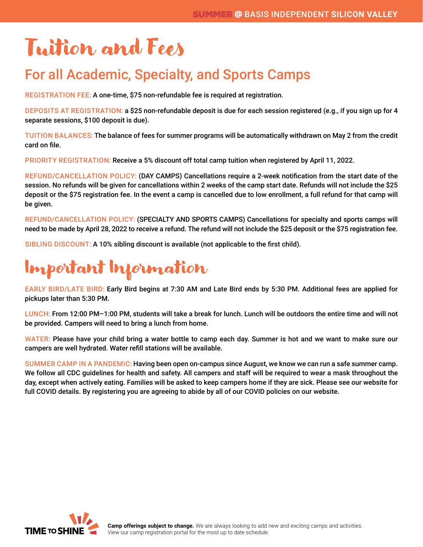## Tuition and Fees

### For all Academic, Specialty, and Sports Camps

REGISTRATION FEE: A one-time, \$75 non-refundable fee is required at registration.

DEPOSITS AT REGISTRATION: a \$25 non-refundable deposit is due for each session registered (e.g., if you sign up for 4 separate sessions, \$100 deposit is due).

TUITION BALANCES: The balance of fees for summer programs will be automatically withdrawn on May 2 from the credit card on file.

PRIORITY REGISTRATION: Receive a 5% discount off total camp tuition when registered by April 11, 2022.

REFUND/CANCELLATION POLICY: (DAY CAMPS) Cancellations require a 2-week notification from the start date of the session. No refunds will be given for cancellations within 2 weeks of the camp start date. Refunds will not include the \$25 deposit or the \$75 registration fee. In the event a camp is cancelled due to low enrollment, a full refund for that camp will be given.

REFUND/CANCELLATION POLICY: (SPECIALTY AND SPORTS CAMPS) Cancellations for specialty and sports camps will need to be made by April 28, 2022 to receive a refund. The refund will not include the \$25 deposit or the \$75 registration fee.

SIBLING DISCOUNT: A 10% sibling discount is available (not applicable to the first child).



EARLY BIRD/LATE BIRD: Early Bird begins at 7:30 AM and Late Bird ends by 5:30 PM. Additional fees are applied for pickups later than 5:30 PM.

LUNCH: From 12:00 PM–1:00 PM, students will take a break for lunch. Lunch will be outdoors the entire time and will not be provided. Campers will need to bring a lunch from home.

WATER: Please have your child bring a water bottle to camp each day. Summer is hot and we want to make sure our campers are well hydrated. Water refill stations will be available.

SUMMER CAMP IN A PANDEMIC: Having been open on-campus since August, we know we can run a safe summer camp. We follow all CDC guidelines for health and safety. All campers and staff will be required to wear a mask throughout the day, except when actively eating. Families will be asked to keep campers home if they are sick. Please see our website for full COVID details. By registering you are agreeing to abide by all of our COVID policies on our website.

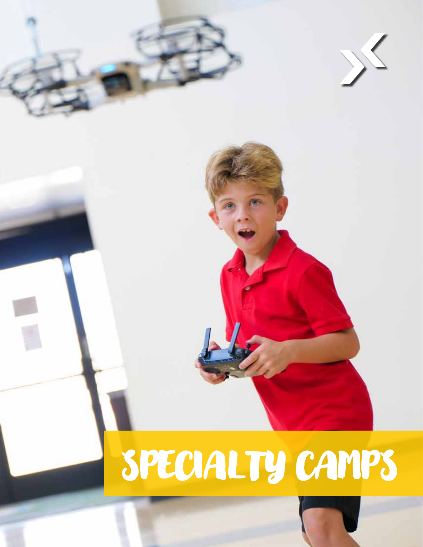# SPECIALTY CAMPS

 $\langle$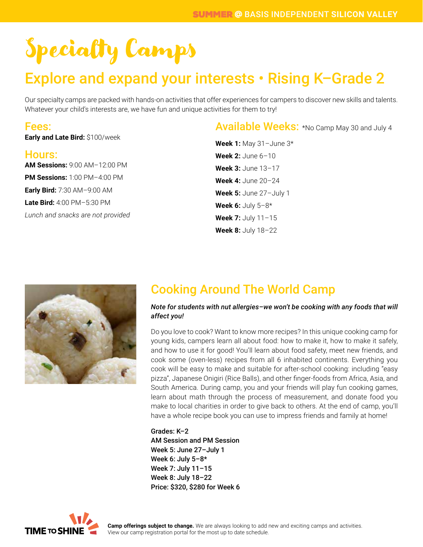### Explore and expand your interests • Rising K–Grade 2

Our specialty camps are packed with hands-on activities that offer experiences for campers to discover new skills and talents. Whatever your child's interests are, we have fun and unique activities for them to try!

### Fees:

**Early and Late Bird:** \$100/week

### Hours:

**AM Sessions:** 9:00 AM–12:00 PM **PM Sessions:** 1:00 PM–4:00 PM **Early Bird:** 7:30 AM–9:00 AM **Late Bird:** 4:00 PM–5:30 PM *Lunch and snacks are not provided* Available Weeks: \*No Camp May 30 and July 4

**Week 1:** May 31–June 3\* **Week 2:** June 6–10 **Week 3:** June 13–17 **Week 4:** June 20–24 **Week 5:** June 27–July 1 **Week 6:** July 5–8\* **Week 7:** July 11–15 **Week 8:** July 18–22



### Cooking Around The World Camp

#### *Note for students with nut allergies–we won't be cooking with any foods that will affect you!*

Do you love to cook? Want to know more recipes? In this unique cooking camp for young kids, campers learn all about food: how to make it, how to make it safely, and how to use it for good! You'll learn about food safety, meet new friends, and cook some (oven-less) recipes from all 6 inhabited continents. Everything you cook will be easy to make and suitable for after-school cooking: including "easy pizza", Japanese Onigiri (Rice Balls), and other finger-foods from Africa, Asia, and South America. During camp, you and your friends will play fun cooking games, learn about math through the process of measurement, and donate food you make to local charities in order to give back to others. At the end of camp, you'll have a whole recipe book you can use to impress friends and family at home!

Grades: K–2 AM Session and PM Session Week 5: June 27–July 1 Week 6: July 5–8\* Week 7: July 11–15 Week 8: July 18–22 Price: \$320, \$280 for Week 6

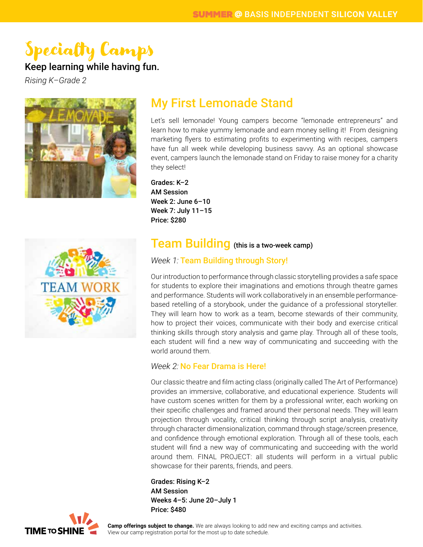### Keep learning while having fun.

*Rising K–Grade 2*





### My First Lemonade Stand

Let's sell lemonade! Young campers become "lemonade entrepreneurs" and learn how to make yummy lemonade and earn money selling it! From designing marketing flyers to estimating profits to experimenting with recipes, campers have fun all week while developing business savvy. As an optional showcase event, campers launch the lemonade stand on Friday to raise money for a charity they select!

Grades: K–2 AM Session Week 2: June 6–10 Week 7: July 11–15 Price: \$280

### Team Building (this is a two-week camp)

#### *Week 1:* Team Building through Story!

Our introduction to performance through classic storytelling provides a safe space for students to explore their imaginations and emotions through theatre games and performance. Students will work collaboratively in an ensemble performancebased retelling of a storybook, under the guidance of a professional storyteller. They will learn how to work as a team, become stewards of their community, how to project their voices, communicate with their body and exercise critical thinking skills through story analysis and game play. Through all of these tools, each student will find a new way of communicating and succeeding with the world around them.

#### *Week 2:* No Fear Drama is Here!

Our classic theatre and film acting class (originally called The Art of Performance) provides an immersive, collaborative, and educational experience. Students will have custom scenes written for them by a professional writer, each working on their specific challenges and framed around their personal needs. They will learn projection through vocality, critical thinking through script analysis, creativity through character dimensionalization, command through stage/screen presence, and confidence through emotional exploration. Through all of these tools, each student will find a new way of communicating and succeeding with the world around them. FINAL PROJECT: all students will perform in a virtual public showcase for their parents, friends, and peers.

Grades: Rising K–2 AM Session Weeks 4–5: June 20–July 1 Price: \$480

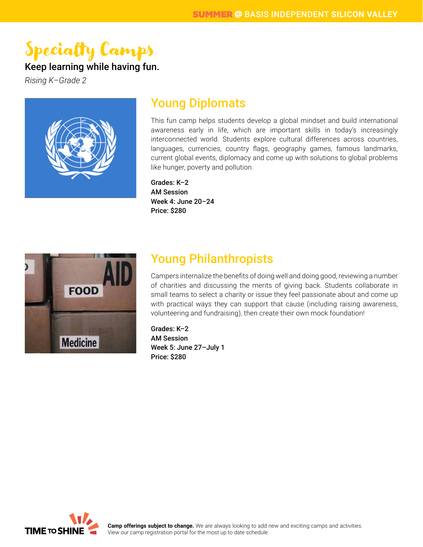### Keep learning while having fun.

*Rising K–Grade 2*



### Young Diplomats

This fun camp helps students develop a global mindset and build international awareness early in life, which are important skills in today's increasingly interconnected world. Students explore cultural differences across countries, languages, currencies, country flags, geography games, famous landmarks, current global events, diplomacy and come up with solutions to global problems like hunger, poverty and pollution.

Grades: K–2 AM Session Week 4: June 20–24 Price: \$280



### Young Philanthropists

Campers internalize the benefits of doing well and doing good, reviewing a number of charities and discussing the merits of giving back. Students collaborate in small teams to select a charity or issue they feel passionate about and come up with practical ways they can support that cause (including raising awareness, volunteering and fundraising), then create their own mock foundation!

Grades: K–2 AM Session Week 5: June 27–July 1 Price: \$280



**Camp offerings subject to change.** We are always looking to add new and exciting camps and activities. View our camp registration portal for the most up to date schedule.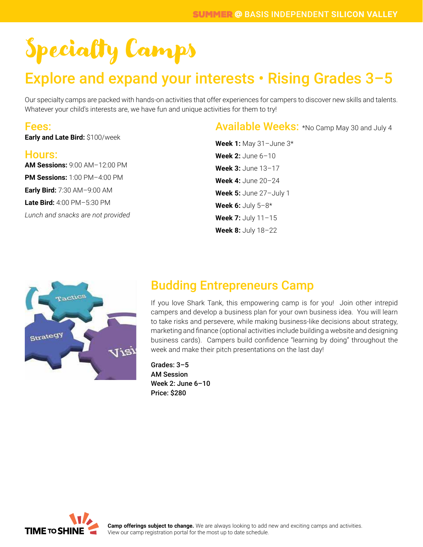### Explore and expand your interests • Rising Grades 3–5

Our specialty camps are packed with hands-on activities that offer experiences for campers to discover new skills and talents. Whatever your child's interests are, we have fun and unique activities for them to try!

### Fees:

**Early and Late Bird:** \$100/week

#### Hours:

**AM Sessions:** 9:00 AM–12:00 PM **PM Sessions:** 1:00 PM–4:00 PM **Early Bird:** 7:30 AM–9:00 AM **Late Bird:** 4:00 PM–5:30 PM *Lunch and snacks are not provided* Available Weeks: \*No Camp May 30 and July 4

**Week 1:** May 31–June 3\* **Week 2:** June 6–10 **Week 3:** June 13–17 **Week 4:** June 20–24 **Week 5:** June 27–July 1 **Week 6:** July 5–8\* **Week 7:** July 11–15 **Week 8:** July 18–22



### Budding Entrepreneurs Camp

If you love Shark Tank, this empowering camp is for you! Join other intrepid campers and develop a business plan for your own business idea. You will learn to take risks and persevere, while making business-like decisions about strategy, marketing and finance (optional activities include building a website and designing business cards). Campers build confidence "learning by doing" throughout the week and make their pitch presentations on the last day!

Grades: 3–5 AM Session Week 2: June 6–10 Price: \$280



**Camp offerings subject to change.** We are always looking to add new and exciting camps and activities. View our camp registration portal for the most up to date schedule.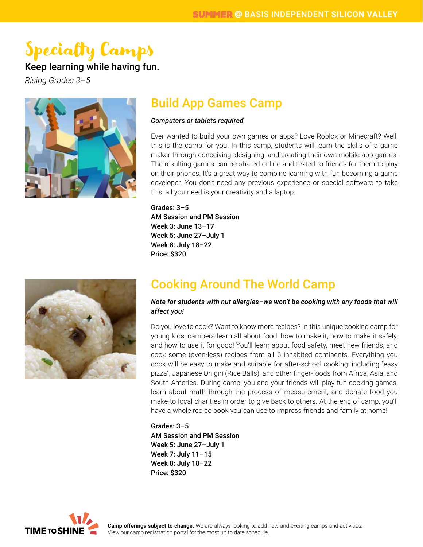### Keep learning while having fun.

*Rising Grades 3–5*



### Build App Games Camp

#### *Computers or tablets required*

Ever wanted to build your own games or apps? Love Roblox or Minecraft? Well, this is the camp for you! In this camp, students will learn the skills of a game maker through conceiving, designing, and creating their own mobile app games. The resulting games can be shared online and texted to friends for them to play on their phones. It's a great way to combine learning with fun becoming a game developer. You don't need any previous experience or special software to take this: all you need is your creativity and a laptop.

Grades: 3–5 AM Session and PM Session Week 3: June 13–17 Week 5: June 27–July 1 Week 8: July 18–22 Price: \$320



### Cooking Around The World Camp

*Note for students with nut allergies–we won't be cooking with any foods that will affect you!*

Do you love to cook? Want to know more recipes? In this unique cooking camp for young kids, campers learn all about food: how to make it, how to make it safely, and how to use it for good! You'll learn about food safety, meet new friends, and cook some (oven-less) recipes from all 6 inhabited continents. Everything you cook will be easy to make and suitable for after-school cooking: including "easy pizza", Japanese Onigiri (Rice Balls), and other finger-foods from Africa, Asia, and South America. During camp, you and your friends will play fun cooking games, learn about math through the process of measurement, and donate food you make to local charities in order to give back to others. At the end of camp, you'll have a whole recipe book you can use to impress friends and family at home!

Grades: 3–5 AM Session and PM Session Week 5: June 27–July 1 Week 7: July 11–15 Week 8: July 18–22 Price: \$320

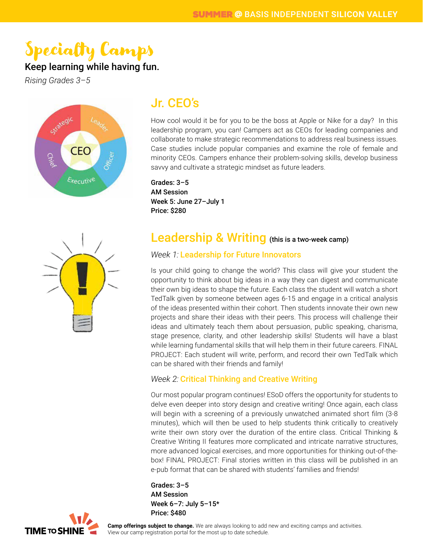### Keep learning while having fun.

*Rising Grades 3–5*



### Jr. CEO's

How cool would it be for you to be the boss at Apple or Nike for a day? In this leadership program, you can! Campers act as CEOs for leading companies and collaborate to make strategic recommendations to address real business issues. Case studies include popular companies and examine the role of female and minority CEOs. Campers enhance their problem-solving skills, develop business savvy and cultivate a strategic mindset as future leaders.

Grades: 3–5 AM Session Week 5: June 27–July 1 Price: \$280



### Leadership & Writing (this is a two-week camp)

#### *Week 1:* Leadership for Future Innovators

Is your child going to change the world? This class will give your student the opportunity to think about big ideas in a way they can digest and communicate their own big ideas to shape the future. Each class the student will watch a short TedTalk given by someone between ages 6-15 and engage in a critical analysis of the ideas presented within their cohort. Then students innovate their own new projects and share their ideas with their peers. This process will challenge their ideas and ultimately teach them about persuasion, public speaking, charisma, stage presence, clarity, and other leadership skills! Students will have a blast while learning fundamental skills that will help them in their future careers. FINAL PROJECT: Each student will write, perform, and record their own TedTalk which can be shared with their friends and family!

#### *Week 2:* Critical Thinking and Creative Writing

Our most popular program continues! ESoD offers the opportunity for students to delve even deeper into story design and creative writing! Once again, each class will begin with a screening of a previously unwatched animated short film (3-8 minutes), which will then be used to help students think critically to creatively write their own story over the duration of the entire class. Critical Thinking & Creative Writing II features more complicated and intricate narrative structures, more advanced logical exercises, and more opportunities for thinking out-of-thebox! FINAL PROJECT: Final stories written in this class will be published in an e-pub format that can be shared with students' families and friends!

Grades: 3–5 AM Session Week 6–7: July 5–15\* Price: \$480

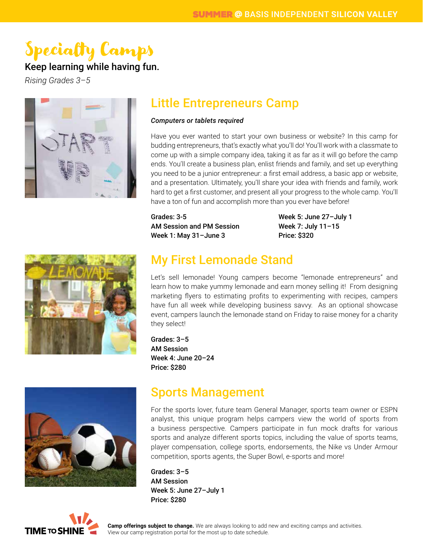### Keep learning while having fun.

*Rising Grades 3–5*



### Little Entrepreneurs Camp

#### *Computers or tablets required*

Have you ever wanted to start your own business or website? In this camp for budding entrepreneurs, that's exactly what you'll do! You'll work with a classmate to come up with a simple company idea, taking it as far as it will go before the camp ends. You'll create a business plan, enlist friends and family, and set up everything you need to be a junior entrepreneur: a first email address, a basic app or website, and a presentation. Ultimately, you'll share your idea with friends and family, work hard to get a first customer, and present all your progress to the whole camp. You'll have a ton of fun and accomplish more than you ever have before!

Grades: 3-5 AM Session and PM Session Week 1: May 31–June 3

Week 5: June 27–July 1 Week 7: July 11–15 Price: \$320



### My First Lemonade Stand

Let's sell lemonade! Young campers become "lemonade entrepreneurs" and learn how to make yummy lemonade and earn money selling it! From designing marketing flyers to estimating profits to experimenting with recipes, campers have fun all week while developing business savvy. As an optional showcase event, campers launch the lemonade stand on Friday to raise money for a charity they select!

Grades: 3–5 AM Session Week 4: June 20–24 Price: \$280



### Sports Management

For the sports lover, future team General Manager, sports team owner or ESPN analyst, this unique program helps campers view the world of sports from a business perspective. Campers participate in fun mock drafts for various sports and analyze different sports topics, including the value of sports teams, player compensation, college sports, endorsements, the Nike vs Under Armour competition, sports agents, the Super Bowl, e-sports and more!

Grades: 3–5 AM Session Week 5: June 27–July 1 Price: \$280

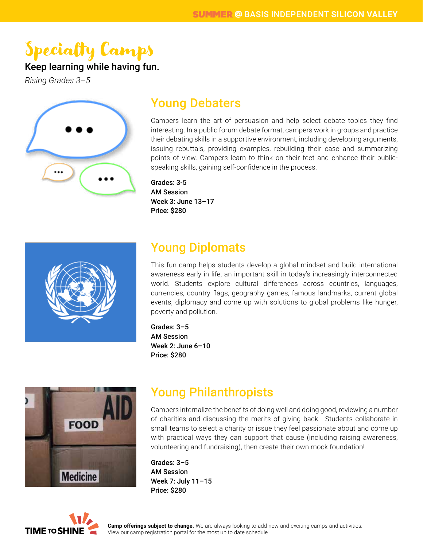### Keep learning while having fun.

*Rising Grades 3–5*



### Young Debaters

Campers learn the art of persuasion and help select debate topics they find interesting. In a public forum debate format, campers work in groups and practice their debating skills in a supportive environment, including developing arguments, issuing rebuttals, providing examples, rebuilding their case and summarizing points of view. Campers learn to think on their feet and enhance their publicspeaking skills, gaining self-confidence in the process.

Grades: 3-5 AM Session Week 3: June 13–17 Price: \$280



### Young Diplomats

This fun camp helps students develop a global mindset and build international awareness early in life, an important skill in today's increasingly interconnected world. Students explore cultural differences across countries, languages, currencies, country flags, geography games, famous landmarks, current global events, diplomacy and come up with solutions to global problems like hunger, poverty and pollution.

Grades: 3–5 AM Session Week 2: June 6–10 Price: \$280



### Young Philanthropists

Campers internalize the benefits of doing well and doing good, reviewing a number of charities and discussing the merits of giving back. Students collaborate in small teams to select a charity or issue they feel passionate about and come up with practical ways they can support that cause (including raising awareness, volunteering and fundraising), then create their own mock foundation!

Grades: 3–5 AM Session Week 7: July 11–15 Price: \$280

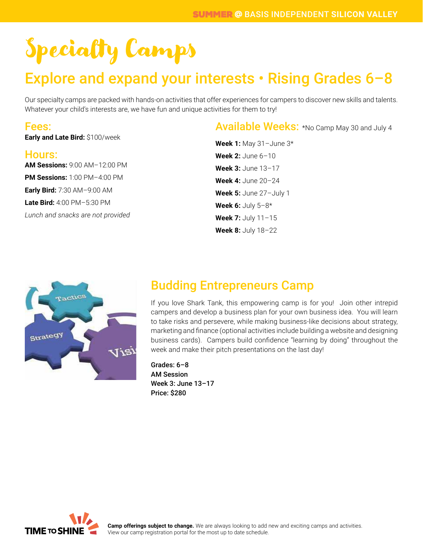### Explore and expand your interests • Rising Grades 6–8

Our specialty camps are packed with hands-on activities that offer experiences for campers to discover new skills and talents. Whatever your child's interests are, we have fun and unique activities for them to try!

### Fees:

**Early and Late Bird:** \$100/week

#### Hours:

**AM Sessions:** 9:00 AM–12:00 PM **PM Sessions:** 1:00 PM–4:00 PM **Early Bird:** 7:30 AM–9:00 AM **Late Bird:** 4:00 PM–5:30 PM *Lunch and snacks are not provided* Available Weeks: \*No Camp May 30 and July 4

**Week 1:** May 31–June 3\* **Week 2:** June 6–10 **Week 3:** June 13–17 **Week 4:** June 20–24 **Week 5:** June 27–July 1 **Week 6:** July 5–8\* **Week 7:** July 11–15 **Week 8:** July 18–22



### Budding Entrepreneurs Camp

If you love Shark Tank, this empowering camp is for you! Join other intrepid campers and develop a business plan for your own business idea. You will learn to take risks and persevere, while making business-like decisions about strategy, marketing and finance (optional activities include building a website and designing business cards). Campers build confidence "learning by doing" throughout the week and make their pitch presentations on the last day!

Grades: 6–8 AM Session Week 3: June 13–17 Price: \$280



**Camp offerings subject to change.** We are always looking to add new and exciting camps and activities. View our camp registration portal for the most up to date schedule.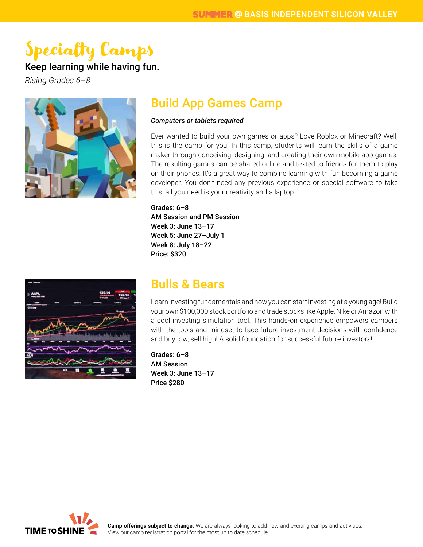### Keep learning while having fun.

*Rising Grades 6–8*



### Build App Games Camp

#### *Computers or tablets required*

Ever wanted to build your own games or apps? Love Roblox or Minecraft? Well, this is the camp for you! In this camp, students will learn the skills of a game maker through conceiving, designing, and creating their own mobile app games. The resulting games can be shared online and texted to friends for them to play on their phones. It's a great way to combine learning with fun becoming a game developer. You don't need any previous experience or special software to take this: all you need is your creativity and a laptop.

Grades: 6–8 AM Session and PM Session Week 3: June 13–17 Week 5: June 27–July 1 Week 8: July 18–22 Price: \$320



### Bulls & Bears

Learn investing fundamentals and how you can start investing at a young age! Build your own \$100,000 stock portfolio and trade stocks like Apple, Nike or Amazon with a cool investing simulation tool. This hands-on experience empowers campers with the tools and mindset to face future investment decisions with confidence and buy low, sell high! A solid foundation for successful future investors!

Grades: 6–8 AM Session Week 3: June 13–17 Price \$280

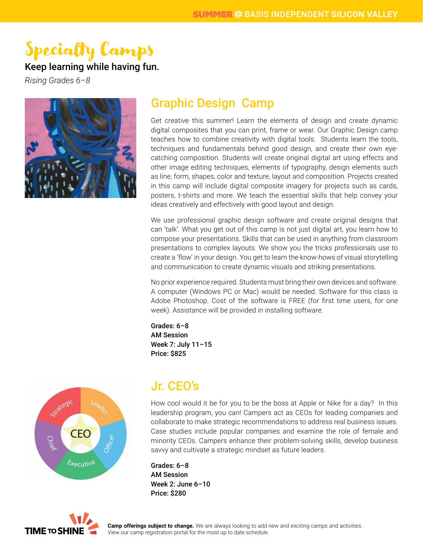### Keep learning while having fun.

*Rising Grades 6–8*



### Graphic Design Camp

Get creative this summer! Learn the elements of design and create dynamic digital composites that you can print, frame or wear. Our Graphic Design camp teaches how to combine creativity with digital tools. Students learn the tools, techniques and fundamentals behind good design, and create their own eyecatching composition. Students will create original digital art using effects and other image editing techniques, elements of typography, design elements such as line, form, shapes, color and texture, layout and composition. Projects created in this camp will include digital composite imagery for projects such as cards, posters, t-shirts and more. We teach the essential skills that help convey your ideas creatively and effectively with good layout and design.

We use professional graphic design software and create original designs that can 'talk'. What you get out of this camp is not just digital art, you learn how to compose your presentations. Skills that can be used in anything from classroom presentations to complex layouts. We show you the tricks professionals use to create a 'flow' in your design. You get to learn the know-hows of visual storytelling and communication to create dynamic visuals and striking presentations.

No prior experience required. Students must bring their own devices and software. A computer (Windows PC or Mac) would be needed. Software for this class is Adobe Photoshop. Cost of the software is FREE (for first time users, for one week). Assistance will be provided in installing software.

Grades: 6–8 AM Session Week 7: July 11–15 Price: \$825



### Jr. CEO's

How cool would it be for you to be the boss at Apple or Nike for a day? In this leadership program, you can! Campers act as CEOs for leading companies and collaborate to make strategic recommendations to address real business issues. Case studies include popular companies and examine the role of female and minority CEOs. Campers enhance their problem-solving skills, develop business savvy and cultivate a strategic mindset as future leaders.

Grades: 6–8 AM Session Week 2: June 6–10 Price: \$280

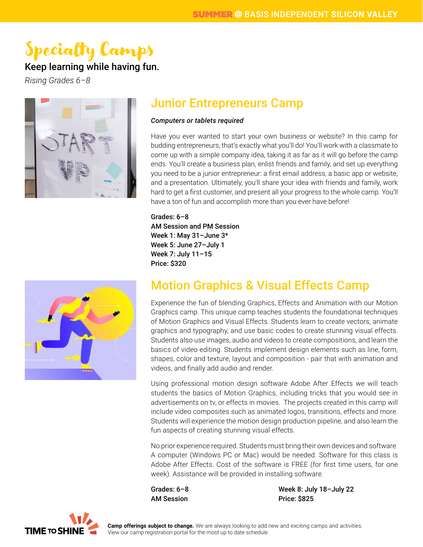### Keep learning while having fun.

*Rising Grades 6–8*



### Junior Entrepreneurs Camp

#### *Computers or tablets required*

Have you ever wanted to start your own business or website? In this camp for budding entrepreneurs, that's exactly what you'll do! You'll work with a classmate to come up with a simple company idea, taking it as far as it will go before the camp ends. You'll create a business plan, enlist friends and family, and set up everything you need to be a junior entrepreneur: a first email address, a basic app or website, and a presentation. Ultimately, you'll share your idea with friends and family, work hard to get a first customer, and present all your progress to the whole camp. You'll have a ton of fun and accomplish more than you ever have before!

#### Grades: 6–8 AM Session and PM Session Week 1: May 31–June 3\* Week 5: June 27–July 1 Week 7: July 11–15 Price: \$320



### Motion Graphics & Visual Effects Camp

Experience the fun of blending Graphics, Effects and Animation with our Motion Graphics camp. This unique camp teaches students the foundational techniques of Motion Graphics and Visual Effects. Students learn to create vectors, animate graphics and typography, and use basic codes to create stunning visual effects. Students also use images, audio and videos to create compositions, and learn the basics of video editing. Students implement design elements such as line, form, shapes, color and texture, layout and composition - pair that with animation and videos, and finally add audio and render.

Using professional motion design software Adobe After Effects we will teach students the basics of Motion Graphics, including tricks that you would see in advertisements on tv, or effects in movies. The projects created in this camp will include video composites such as animated logos, transitions, effects and more. Students will experience the motion design production pipeline, and also learn the fun aspects of creating stunning visual effects.

No prior experience required. Students must bring their own devices and software. A computer (Windows PC or Mac) would be needed. Software for this class is Adobe After Effects. Cost of the software is FREE (for first time users, for one week). Assistance will be provided in installing software.

Grades: 6–8 AM Session Week 8: July 18–July 22 Price: \$825

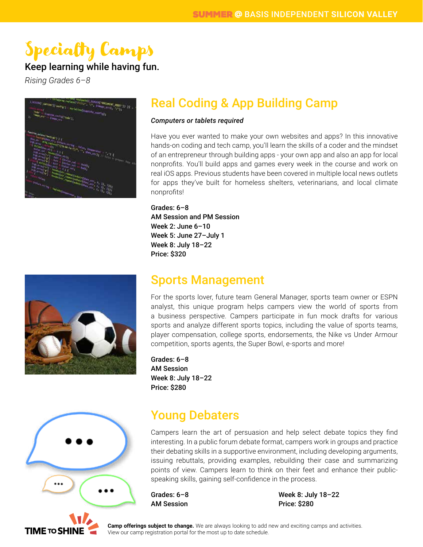### Keep learning while having fun.

*Rising Grades 6–8*

| the latest replaced VIII(V), 777, 31marc, and J, 777);<br>reviseder, stavent proceder, 2001-33-33-4<br>il littering', corrow'll'inistic') - Attilal (seditamente, conflicta)<br>Liverane Confiet (code )<br>Hage, trends of Flash, the<br>к                                                                                                                                                                                                                                                                                                                                                 |
|---------------------------------------------------------------------------------------------------------------------------------------------------------------------------------------------------------------------------------------------------------------------------------------------------------------------------------------------------------------------------------------------------------------------------------------------------------------------------------------------------------------------------------------------------------------------------------------------|
| <b>Employ extents the division of F</b><br><b>Straitford and Company of the Company of the Company of the Company of the Company of the Company of the Company</b><br>$\mu_{\rm H, 10}$<br>ing replaced the same for the control of the control of the control of the control of the control of the control of the control of the control of the control of the control of the control of the control of the control of t<br><b>START AND</b><br><b>Catchetine Catchetine</b><br><b>FORD AND AN</b><br>x<br><b>City Last Angle</b><br>$\omega_{\rm 0}$<br>a Government<br><b>Little Atl</b> |
| <b>Rangel V</b><br><b>SHIP</b><br>Second to a Committee of the contract of the State of the State of the State of the State of the State of the State of<br><b>David Vi</b><br>ı<br><b>Committee of Committee of the Committee of the Committee of the Committee of the Committee of the Committee of</b><br><b>Constitution of the Constitution of the Constitution of the Constitution of the Constitution</b><br>۱<br><b>College</b><br><b>Services Controllering Controllering Street</b>                                                                                               |

### Real Coding & App Building Camp

#### *Computers or tablets required*

Have you ever wanted to make your own websites and apps? In this innovative hands-on coding and tech camp, you'll learn the skills of a coder and the mindset of an entrepreneur through building apps - your own app and also an app for local nonprofits. You'll build apps and games every week in the course and work on real iOS apps. Previous students have been covered in multiple local news outlets for apps they've built for homeless shelters, veterinarians, and local climate nonprofits!

#### Grades: 6–8 AM Session and PM Session Week 2: June 6–10 Week 5: June 27–July 1 Week 8: July 18–22 Price: \$320

### Sports Management

For the sports lover, future team General Manager, sports team owner or ESPN analyst, this unique program helps campers view the world of sports from a business perspective. Campers participate in fun mock drafts for various sports and analyze different sports topics, including the value of sports teams, player compensation, college sports, endorsements, the Nike vs Under Armour competition, sports agents, the Super Bowl, e-sports and more!

Grades: 6–8 AM Session Week 8: July 18–22 Price: \$280



TIME TO SHI

### Young Debaters

Campers learn the art of persuasion and help select debate topics they find interesting. In a public forum debate format, campers work in groups and practice their debating skills in a supportive environment, including developing arguments, issuing rebuttals, providing examples, rebuilding their case and summarizing points of view. Campers learn to think on their feet and enhance their publicspeaking skills, gaining self-confidence in the process.

Grades: 6–8 AM Session

Week 8: July 18–22 Price: \$280

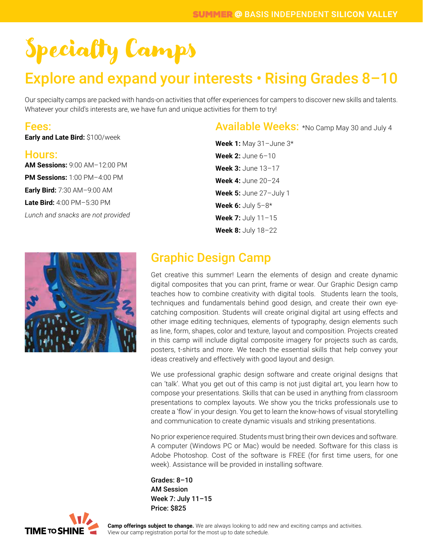### Explore and expand your interests • Rising Grades 8–10

Our specialty camps are packed with hands-on activities that offer experiences for campers to discover new skills and talents. Whatever your child's interests are, we have fun and unique activities for them to try!

### Fees:

**Early and Late Bird:** \$100/week

#### Hours:

**AM Sessions:** 9:00 AM–12:00 PM **PM Sessions:** 1:00 PM–4:00 PM **Early Bird:** 7:30 AM–9:00 AM **Late Bird:** 4:00 PM–5:30 PM *Lunch and snacks are not provided*



Available Weeks: \*No Camp May 30 and July 4

**Week 1:** May 31–June 3\* **Week 2:** June 6–10 **Week 3:** June 13–17 **Week 4:** June 20–24 **Week 5:** June 27–July 1 **Week 6:** July 5–8\* **Week 7:** July 11–15 **Week 8:** July 18–22

### Graphic Design Camp

Get creative this summer! Learn the elements of design and create dynamic digital composites that you can print, frame or wear. Our Graphic Design camp teaches how to combine creativity with digital tools. Students learn the tools, techniques and fundamentals behind good design, and create their own eyecatching composition. Students will create original digital art using effects and other image editing techniques, elements of typography, design elements such as line, form, shapes, color and texture, layout and composition. Projects created in this camp will include digital composite imagery for projects such as cards, posters, t-shirts and more. We teach the essential skills that help convey your ideas creatively and effectively with good layout and design.

We use professional graphic design software and create original designs that can 'talk'. What you get out of this camp is not just digital art, you learn how to compose your presentations. Skills that can be used in anything from classroom presentations to complex layouts. We show you the tricks professionals use to create a 'flow' in your design. You get to learn the know-hows of visual storytelling and communication to create dynamic visuals and striking presentations.

No prior experience required. Students must bring their own devices and software. A computer (Windows PC or Mac) would be needed. Software for this class is Adobe Photoshop. Cost of the software is FREE (for first time users, for one week). Assistance will be provided in installing software.

Grades: 8–10 AM Session Week 7: July 11–15 Price: \$825

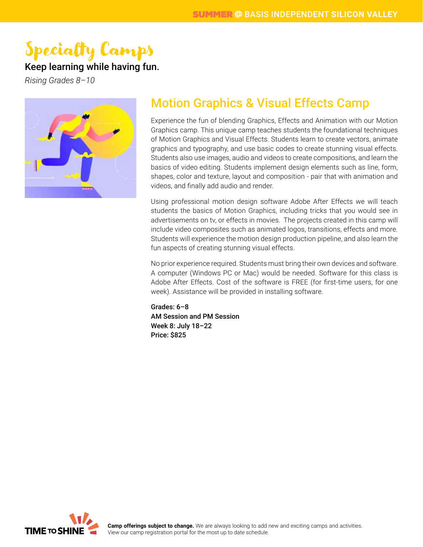### Keep learning while having fun.

*Rising Grades 8–10*



### Motion Graphics & Visual Effects Camp

Experience the fun of blending Graphics, Effects and Animation with our Motion Graphics camp. This unique camp teaches students the foundational techniques of Motion Graphics and Visual Effects. Students learn to create vectors, animate graphics and typography, and use basic codes to create stunning visual effects. Students also use images, audio and videos to create compositions, and learn the basics of video editing. Students implement design elements such as line, form, shapes, color and texture, layout and composition - pair that with animation and videos, and finally add audio and render.

Using professional motion design software Adobe After Effects we will teach students the basics of Motion Graphics, including tricks that you would see in advertisements on tv, or effects in movies. The projects created in this camp will include video composites such as animated logos, transitions, effects and more. Students will experience the motion design production pipeline, and also learn the fun aspects of creating stunning visual effects.

No prior experience required. Students must bring their own devices and software. A computer (Windows PC or Mac) would be needed. Software for this class is Adobe After Effects. Cost of the software is FREE (for first-time users, for one week). Assistance will be provided in installing software.

Grades: 6–8 AM Session and PM Session Week 8: July 18–22 Price: \$825

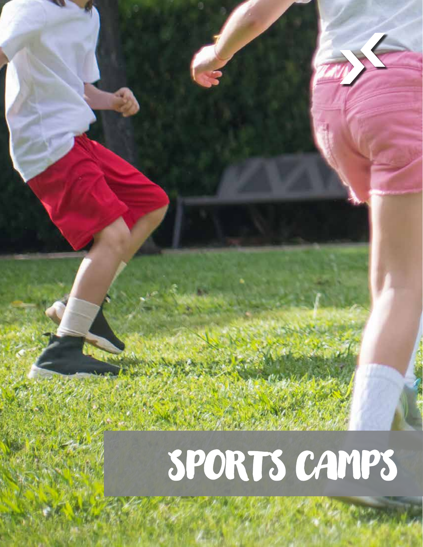# SPORTS CAMPS